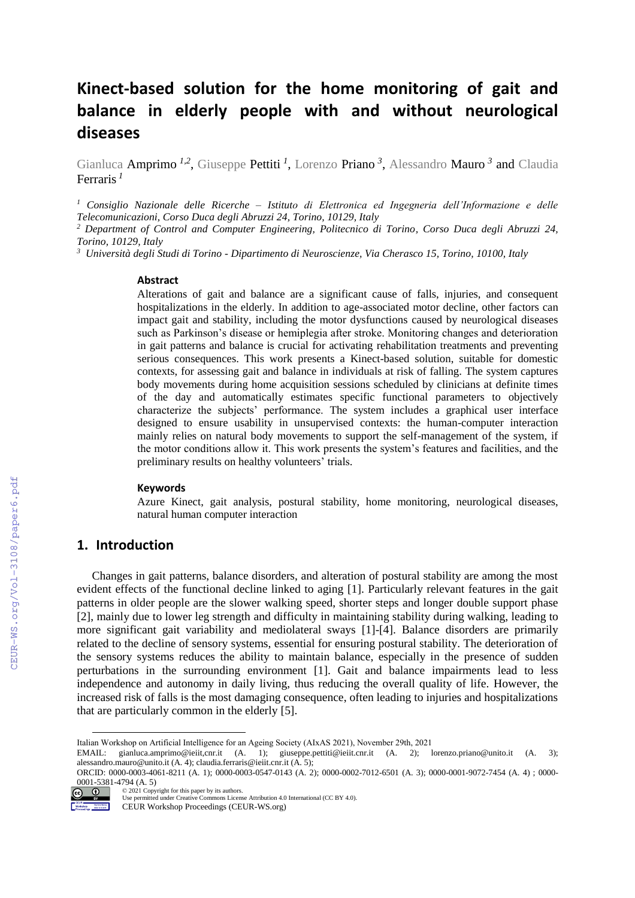# **Kinect-based solution for the home monitoring of gait and balance in elderly people with and without neurological diseases**

Gianluca Amprimo<sup>1,2</sup>, Giuseppe Pettiti<sup>1</sup>, Lorenzo Priano<sup>3</sup>, Alessandro Mauro<sup>3</sup> and Claudia Ferraris *<sup>1</sup>*

*<sup>1</sup> Consiglio Nazionale delle Ricerche – Istituto di Elettronica ed Ingegneria dell'Informazione e delle Telecomunicazioni, Corso Duca degli Abruzzi 24, Torino, 10129, Italy*

*<sup>2</sup> Department of Control and Computer Engineering, Politecnico di Torino, Corso Duca degli Abruzzi 24, Torino, 10129, Italy*

*<sup>3</sup>Università degli Studi di Torino - Dipartimento di Neuroscienze, Via Cherasco 15, Torino, 10100, Italy*

#### **Abstract**

Alterations of gait and balance are a significant cause of falls, injuries, and consequent hospitalizations in the elderly. In addition to age-associated motor decline, other factors can impact gait and stability, including the motor dysfunctions caused by neurological diseases such as Parkinson's disease or hemiplegia after stroke. Monitoring changes and deterioration in gait patterns and balance is crucial for activating rehabilitation treatments and preventing serious consequences. This work presents a Kinect-based solution, suitable for domestic contexts, for assessing gait and balance in individuals at risk of falling. The system captures body movements during home acquisition sessions scheduled by clinicians at definite times of the day and automatically estimates specific functional parameters to objectively characterize the subjects' performance. The system includes a graphical user interface designed to ensure usability in unsupervised contexts: the human-computer interaction mainly relies on natural body movements to support the self-management of the system, if the motor conditions allow it. This work presents the system's features and facilities, and the preliminary results on healthy volunteers' trials.

#### **Keywords**

Azure Kinect, gait analysis, postural stability, home monitoring, neurological diseases, natural human computer interaction

# **1. Introduction**

Changes in gait patterns, balance disorders, and alteration of postural stability are among the most evident effects of the functional decline linked to aging [\[1\].](#page--1-0) Particularly relevant features in the gait patterns in older people are the slower walking speed, shorter steps and longer double support phase [\[2\],](#page--1-1) mainly due to lower leg strength and difficulty in maintaining stability during walking, leading to more significant gait variability and mediolateral sways [\[1\]](#page--1-0)[-\[4\].](#page--1-2) Balance disorders are primarily related to the decline of sensory systems, essential for ensuring postural stability. The deterioration of the sensory systems reduces the ability to maintain balance, especially in the presence of sudden perturbations in the surrounding environment [\[1\].](#page--1-0) Gait and balance impairments lead to less independence and autonomy in daily living, thus reducing the overall quality of life. However, the increased risk of falls is the most damaging consequence, often leading to injuries and hospitalizations that are particularly common in the elderly [\[5\].](#page--1-3)

ORCID: 0000-0003-4061-8211 (A. 1); 0000-0003-0547-0143 (A. 2); 0000-0002-7012-6501 (A. 3); 0000-0001-9072-7454 (A. 4) ; 0000- 0001-5381-4794 (A. 5) © 2021 Copyright for this paper by its authors.



Use permitted under Creative Commons License Attribution 4.0 International (CC BY 4.0).

Italian Workshop on Artificial Intelligence for an Ageing Society (AIxAS 2021), November 29th, 2021

EMAIL: gianluca.amprimo@ieiit,cnr.it (A. 1); giuseppe.pettiti@ieiit.cnr.it (A. 2); lorenzo.priano@unito.it (A. 3); alessandro.mauro@unito.it (A. 4); claudia.ferraris@ieiit.cnr.it (A. 5);

CEUR Workshop Proceedings (CEUR-WS.org)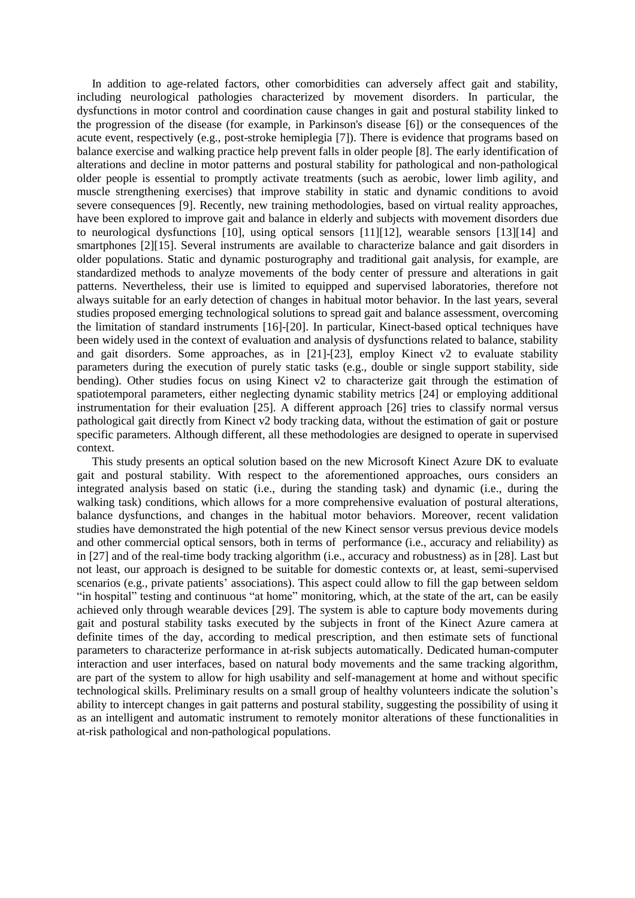In addition to age-related factors, other comorbidities can adversely affect gait and stability, including neurological pathologies characterized by movement disorders. In particular, the dysfunctions in motor control and coordination cause changes in gait and postural stability linked to the progression of the disease (for example, in Parkinson's disease [\[6\]\)](#page-9-0) or the consequences of the acute event, respectively (e.g., post-stroke hemiplegia [\[7\]\)](#page-9-1). There is evidence that programs based on balance exercise and walking practice help prevent falls in older people [\[8\].](#page-9-2) The early identification of alterations and decline in motor patterns and postural stability for pathological and non-pathological older people is essential to promptly activate treatments (such as aerobic, lower limb agility, and muscle strengthening exercises) that improve stability in static and dynamic conditions to avoid severe consequences [\[9\].](#page-9-3) Recently, new training methodologies, based on virtual reality approaches, have been explored to improve gait and balance in elderly and subjects with movement disorders due to neurological dysfunctions [\[10\],](#page-9-4) using optical sensors [\[11\]](#page-9-5)[\[12\],](#page-9-6) wearable sensors [\[13\]](#page-9-7)[\[14\]](#page-9-8) and smartphones [\[2\]](#page-9-9)[\[15\].](#page-9-10) Several instruments are available to characterize balance and gait disorders in older populations. Static and dynamic posturography and traditional gait analysis, for example, are standardized methods to analyze movements of the body center of pressure and alterations in gait patterns. Nevertheless, their use is limited to equipped and supervised laboratories, therefore not always suitable for an early detection of changes in habitual motor behavior. In the last years, several studies proposed emerging technological solutions to spread gait and balance assessment, overcoming the limitation of standard instruments [\[16\]-](#page-9-11)[\[20\].](#page-10-0) In particular, Kinect-based optical techniques have been widely used in the context of evaluation and analysis of dysfunctions related to balance, stability and gait disorders. Some approaches, as in  $[21]$ - $[23]$ , employ Kinect v2 to evaluate stability parameters during the execution of purely static tasks (e.g., double or single support stability, side bending). Other studies focus on using Kinect v2 to characterize gait through the estimation of spatiotemporal parameters, either neglecting dynamic stability metrics [24] or employing additional instrumentation for their evaluation [25]. A different approach [26] tries to classify normal versus pathological gait directly from Kinect v2 body tracking data, without the estimation of gait or posture specific parameters. Although different, all these methodologies are designed to operate in supervised context.

This study presents an optical solution based on the new Microsoft Kinect Azure DK to evaluate gait and postural stability. With respect to the aforementioned approaches, ours considers an integrated analysis based on static (i.e., during the standing task) and dynamic (i.e., during the walking task) conditions, which allows for a more comprehensive evaluation of postural alterations, balance dysfunctions, and changes in the habitual motor behaviors. Moreover, recent validation studies have demonstrated the high potential of the new Kinect sensor versus previous device models and other commercial optical sensors, both in terms of performance (i.e., accuracy and reliability) as in [\[27\]](#page-10-1) and of the real-time body tracking algorithm (i.e., accuracy and robustness) as in [\[28\].](#page-10-2) Last but not least, our approach is designed to be suitable for domestic contexts or, at least, semi-supervised scenarios (e.g., private patients' associations). This aspect could allow to fill the gap between seldom "in hospital" testing and continuous "at home" monitoring, which, at the state of the art, can be easily achieved only through wearable devices [29]. The system is able to capture body movements during gait and postural stability tasks executed by the subjects in front of the Kinect Azure camera at definite times of the day, according to medical prescription, and then estimate sets of functional parameters to characterize performance in at-risk subjects automatically. Dedicated human-computer interaction and user interfaces, based on natural body movements and the same tracking algorithm, are part of the system to allow for high usability and self-management at home and without specific technological skills. Preliminary results on a small group of healthy volunteers indicate the solution's ability to intercept changes in gait patterns and postural stability, suggesting the possibility of using it as an intelligent and automatic instrument to remotely monitor alterations of these functionalities in at-risk pathological and non-pathological populations.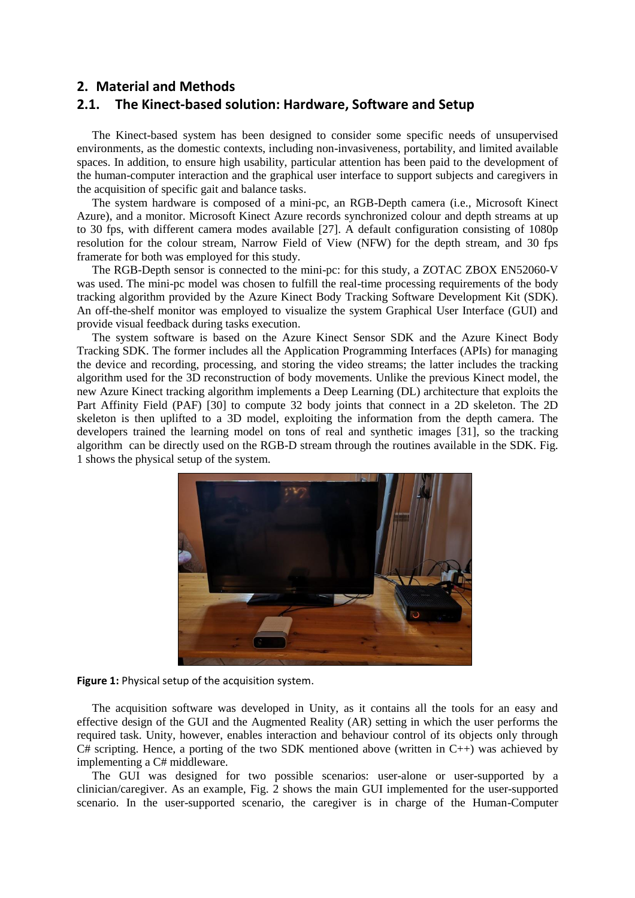# **2. Material and Methods**

# **2.1. The Kinect-based solution: Hardware, Software and Setup**

The Kinect-based system has been designed to consider some specific needs of unsupervised environments, as the domestic contexts, including non-invasiveness, portability, and limited available spaces. In addition, to ensure high usability, particular attention has been paid to the development of the human-computer interaction and the graphical user interface to support subjects and caregivers in the acquisition of specific gait and balance tasks.

The system hardware is composed of a mini-pc, an RGB-Depth camera (i.e., Microsoft Kinect Azure), and a monitor. Microsoft Kinect Azure records synchronized colour and depth streams at up to 30 fps, with different camera modes available [\[27\].](#page-10-1) A default configuration consisting of 1080p resolution for the colour stream, Narrow Field of View (NFW) for the depth stream, and 30 fps framerate for both was employed for this study.

The RGB-Depth sensor is connected to the mini-pc: for this study, a ZOTAC ZBOX EN52060-V was used. The mini-pc model was chosen to fulfill the real-time processing requirements of the body tracking algorithm provided by the Azure Kinect Body Tracking Software Development Kit (SDK). An off-the-shelf monitor was employed to visualize the system Graphical User Interface (GUI) and provide visual feedback during tasks execution.

The system software is based on the Azure Kinect Sensor SDK and the Azure Kinect Body Tracking SDK. The former includes all the Application Programming Interfaces (APIs) for managing the device and recording, processing, and storing the video streams; the latter includes the tracking algorithm used for the 3D reconstruction of body movements. Unlike the previous Kinect model, the new Azure Kinect tracking algorithm implements a Deep Learning (DL) architecture that exploits the Part Affinity Field (PAF) [\[30\]](#page-10-3) to compute 32 body joints that connect in a 2D skeleton. The 2D skeleton is then uplifted to a 3D model, exploiting the information from the depth camera. The developers trained the learning model on tons of real and synthetic images [\[31\],](#page-10-4) so the tracking algorithm can be directly used on the RGB-D stream through the routines available in the SDK. Fig. 1 shows the physical setup of the system.



**Figure 1:** Physical setup of the acquisition system.

The acquisition software was developed in Unity, as it contains all the tools for an easy and effective design of the GUI and the Augmented Reality (AR) setting in which the user performs the required task. Unity, however, enables interaction and behaviour control of its objects only through  $C#$  scripting. Hence, a porting of the two SDK mentioned above (written in  $C_{++}$ ) was achieved by implementing a C# middleware.

The GUI was designed for two possible scenarios: user-alone or user-supported by a clinician/caregiver. As an example, Fig. 2 shows the main GUI implemented for the user-supported scenario. In the user-supported scenario, the caregiver is in charge of the Human-Computer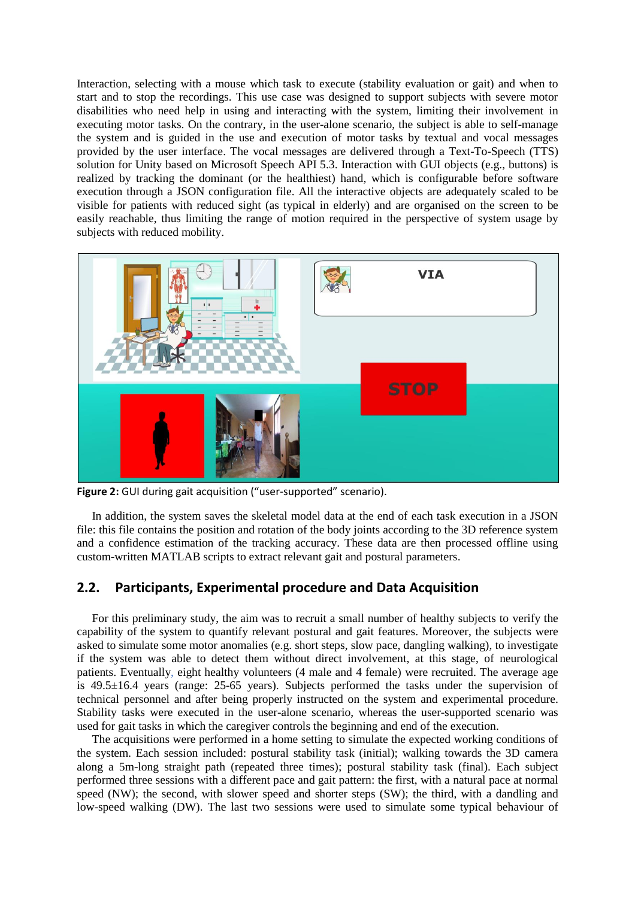Interaction, selecting with a mouse which task to execute (stability evaluation or gait) and when to start and to stop the recordings. This use case was designed to support subjects with severe motor disabilities who need help in using and interacting with the system, limiting their involvement in executing motor tasks. On the contrary, in the user-alone scenario, the subject is able to self-manage the system and is guided in the use and execution of motor tasks by textual and vocal messages provided by the user interface. The vocal messages are delivered through a Text-To-Speech (TTS) solution for Unity based on Microsoft Speech API 5.3. Interaction with GUI objects (e.g., buttons) is realized by tracking the dominant (or the healthiest) hand, which is configurable before software execution through a JSON configuration file. All the interactive objects are adequately scaled to be visible for patients with reduced sight (as typical in elderly) and are organised on the screen to be easily reachable, thus limiting the range of motion required in the perspective of system usage by subjects with reduced mobility.



**Figure 2:** GUI during gait acquisition ("user-supported" scenario).

In addition, the system saves the skeletal model data at the end of each task execution in a JSON file: this file contains the position and rotation of the body joints according to the 3D reference system and a confidence estimation of the tracking accuracy. These data are then processed offline using custom-written MATLAB scripts to extract relevant gait and postural parameters.

# **2.2. Participants, Experimental procedure and Data Acquisition**

For this preliminary study, the aim was to recruit a small number of healthy subjects to verify the capability of the system to quantify relevant postural and gait features. Moreover, the subjects were asked to simulate some motor anomalies (e.g. short steps, slow pace, dangling walking), to investigate if the system was able to detect them without direct involvement, at this stage, of neurological patients. Eventually, eight healthy volunteers (4 male and 4 female) were recruited. The average age is 49.5±16.4 years (range: 25-65 years). Subjects performed the tasks under the supervision of technical personnel and after being properly instructed on the system and experimental procedure. Stability tasks were executed in the user-alone scenario, whereas the user-supported scenario was used for gait tasks in which the caregiver controls the beginning and end of the execution.

The acquisitions were performed in a home setting to simulate the expected working conditions of the system. Each session included: postural stability task (initial); walking towards the 3D camera along a 5m-long straight path (repeated three times); postural stability task (final). Each subject performed three sessions with a different pace and gait pattern: the first, with a natural pace at normal speed (NW); the second, with slower speed and shorter steps (SW); the third, with a dandling and low-speed walking (DW). The last two sessions were used to simulate some typical behaviour of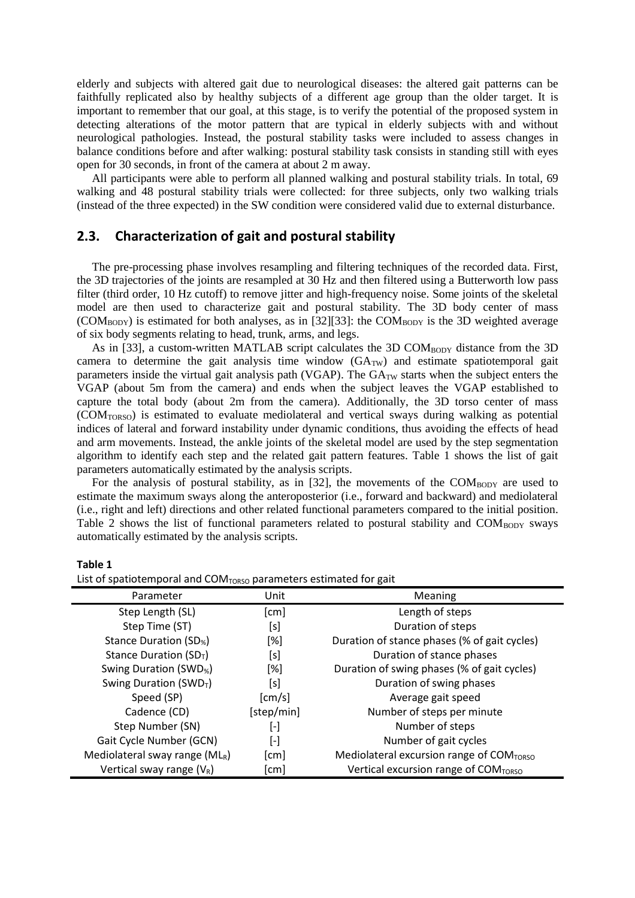elderly and subjects with altered gait due to neurological diseases: the altered gait patterns can be faithfully replicated also by healthy subjects of a different age group than the older target. It is important to remember that our goal, at this stage, is to verify the potential of the proposed system in detecting alterations of the motor pattern that are typical in elderly subjects with and without neurological pathologies. Instead, the postural stability tasks were included to assess changes in balance conditions before and after walking: postural stability task consists in standing still with eyes open for 30 seconds, in front of the camera at about 2 m away.

All participants were able to perform all planned walking and postural stability trials. In total, 69 walking and 48 postural stability trials were collected: for three subjects, only two walking trials (instead of the three expected) in the SW condition were considered valid due to external disturbance.

# **2.3. Characterization of gait and postural stability**

The pre-processing phase involves resampling and filtering techniques of the recorded data. First, the 3D trajectories of the joints are resampled at 30 Hz and then filtered using a Butterworth low pass filter (third order, 10 Hz cutoff) to remove jitter and high-frequency noise. Some joints of the skeletal model are then used to characterize gait and postural stability. The 3D body center of mass  $(COM_{BODY})$  is estimated for both analyses, as in [\[32\]](#page-10-5)[\[33\]:](#page-10-6) the  $COM_{BODY}$  is the 3D weighted average of six body segments relating to head, trunk, arms, and legs.

As in [\[33\],](#page-10-6) a custom-written MATLAB script calculates the 3D  $COM_{BODY}$  distance from the 3D camera to determine the gait analysis time window  $(GA_{TW})$  and estimate spatiotemporal gait parameters inside the virtual gait analysis path (VGAP). The GA<sub>TW</sub> starts when the subject enters the VGAP (about 5m from the camera) and ends when the subject leaves the VGAP established to capture the total body (about 2m from the camera). Additionally, the 3D torso center of mass (COMTORSO) is estimated to evaluate mediolateral and vertical sways during walking as potential indices of lateral and forward instability under dynamic conditions, thus avoiding the effects of head and arm movements. Instead, the ankle joints of the skeletal model are used by the step segmentation algorithm to identify each step and the related gait pattern features. Table 1 shows the list of gait parameters automatically estimated by the analysis scripts.

For the analysis of postural stability, as in [\[32\],](#page-10-5) the movements of the COMBODY are used to estimate the maximum sways along the anteroposterior (i.e., forward and backward) and mediolateral (i.e., right and left) directions and other related functional parameters compared to the initial position. Table 2 shows the list of functional parameters related to postural stability and  $COM<sub>BODY</sub>$  sways automatically estimated by the analysis scripts.

#### **Table 1**

| List of spatiotemporal and COM <sub>TORSO</sub> parameters estimated for gait |                        |                                              |  |  |  |
|-------------------------------------------------------------------------------|------------------------|----------------------------------------------|--|--|--|
| Parameter                                                                     | Unit                   | Meaning                                      |  |  |  |
| Step Length (SL)                                                              | [cm]                   | Length of steps                              |  |  |  |
| Step Time (ST)                                                                | [s]                    | Duration of steps                            |  |  |  |
| Stance Duration (SD <sub>%</sub> )                                            | [%]                    | Duration of stance phases (% of gait cycles) |  |  |  |
| Stance Duration (SD <sub>T</sub> )                                            | [s]                    | Duration of stance phases                    |  |  |  |
| Swing Duration (SWD <sub>%</sub> )                                            | [%]                    | Duration of swing phases (% of gait cycles)  |  |  |  |
| Swing Duration (SWD <sub>T</sub> )                                            | [s]                    | Duration of swing phases                     |  |  |  |
| Speed (SP)                                                                    | [cm/s]                 | Average gait speed                           |  |  |  |
| Cadence (CD)                                                                  | [step/min]             | Number of steps per minute                   |  |  |  |
| Step Number (SN)                                                              | $\lbrack - \rbrack$    | Number of steps                              |  |  |  |
| Gait Cycle Number (GCN)                                                       | $\left[ \cdot \right]$ | Number of gait cycles                        |  |  |  |
| Mediolateral sway range (MLR)                                                 | [cm]                   | Mediolateral excursion range of COMTORSO     |  |  |  |
| Vertical sway range $(V_R)$                                                   | [cm]                   | Vertical excursion range of COMTORSO         |  |  |  |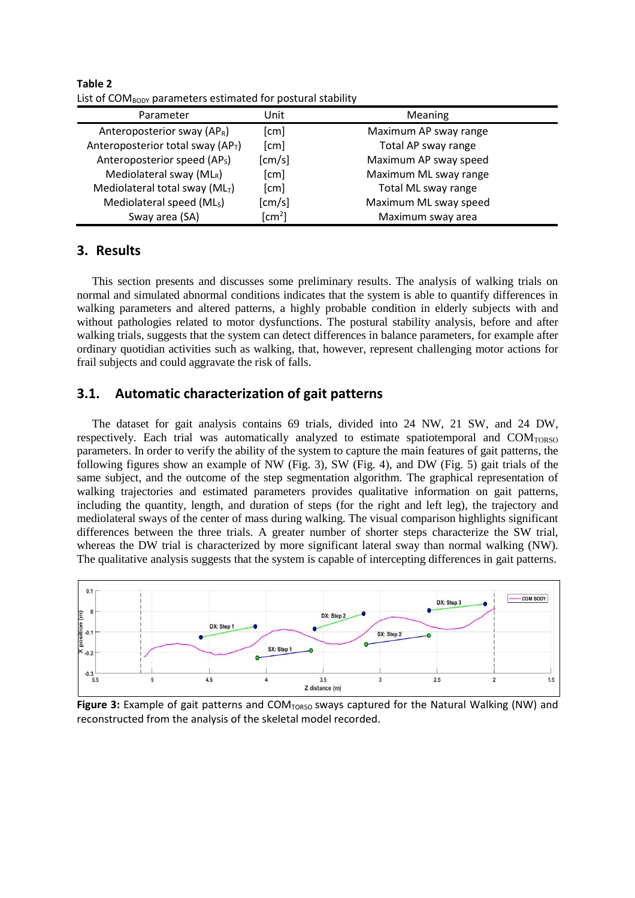| List of configure parameters cstimated for postaral stability |                |                       |  |  |  |
|---------------------------------------------------------------|----------------|-----------------------|--|--|--|
| Parameter                                                     | Unit           | Meaning               |  |  |  |
| Anteroposterior sway $AP_R$ )                                 | [cm]           | Maximum AP sway range |  |  |  |
| Anteroposterior total sway (AP <sub>T</sub> )                 | [cm]           | Total AP sway range   |  |  |  |
| Anteroposterior speed (AP <sub>S</sub> )                      | [cm/s]         | Maximum AP sway speed |  |  |  |
| Mediolateral sway $(ML_R)$                                    | [cm]           | Maximum ML sway range |  |  |  |
| Mediolateral total sway ( $MLT$ )                             | [cm]           | Total ML sway range   |  |  |  |
| Mediolateral speed (ML <sub>S</sub> )                         | [cm/s]         | Maximum ML sway speed |  |  |  |
| Sway area (SA)                                                | $\text{[cm}^2$ | Maximum sway area     |  |  |  |

**Table 2** List of COMBODY parameters estimated for postural stability

# **3. Results**

This section presents and discusses some preliminary results. The analysis of walking trials on normal and simulated abnormal conditions indicates that the system is able to quantify differences in walking parameters and altered patterns, a highly probable condition in elderly subjects with and without pathologies related to motor dysfunctions. The postural stability analysis, before and after walking trials, suggests that the system can detect differences in balance parameters, for example after ordinary quotidian activities such as walking, that, however, represent challenging motor actions for frail subjects and could aggravate the risk of falls.

# **3.1. Automatic characterization of gait patterns**

The dataset for gait analysis contains 69 trials, divided into 24 NW, 21 SW, and 24 DW, respectively. Each trial was automatically analyzed to estimate spatiotemporal and COMTORSO parameters. In order to verify the ability of the system to capture the main features of gait patterns, the following figures show an example of NW (Fig. 3), SW (Fig. 4), and DW (Fig. 5) gait trials of the same subject, and the outcome of the step segmentation algorithm. The graphical representation of walking trajectories and estimated parameters provides qualitative information on gait patterns, including the quantity, length, and duration of steps (for the right and left leg), the trajectory and mediolateral sways of the center of mass during walking. The visual comparison highlights significant differences between the three trials. A greater number of shorter steps characterize the SW trial, whereas the DW trial is characterized by more significant lateral sway than normal walking (NW). The qualitative analysis suggests that the system is capable of intercepting differences in gait patterns.



Figure 3: Example of gait patterns and COM<sub>TORSO</sub> sways captured for the Natural Walking (NW) and reconstructed from the analysis of the skeletal model recorded.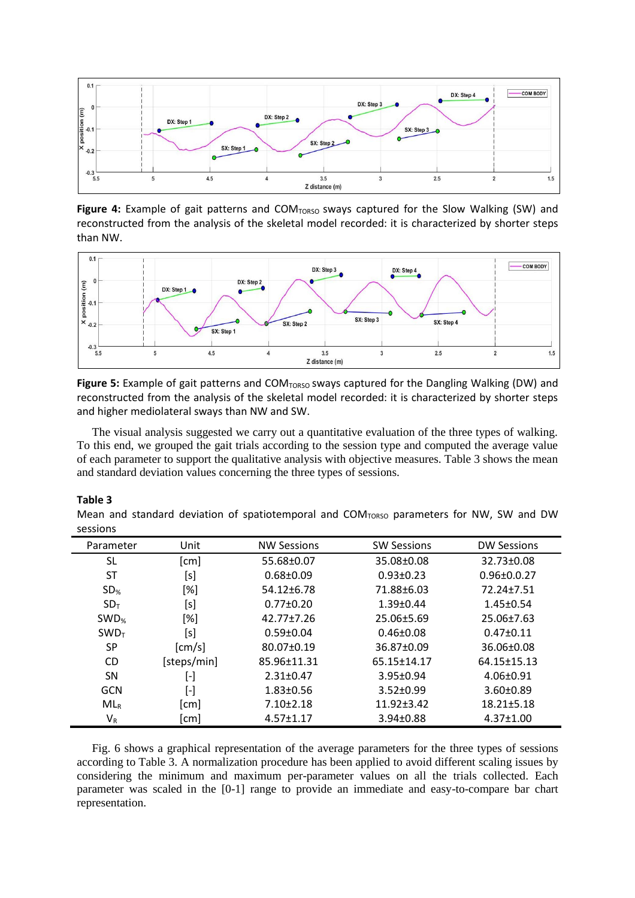

Figure 4: Example of gait patterns and COM<sub>TORSO</sub> sways captured for the Slow Walking (SW) and reconstructed from the analysis of the skeletal model recorded: it is characterized by shorter steps than NW.



Figure 5: Example of gait patterns and COM<sub>TORSO</sub> sways captured for the Dangling Walking (DW) and reconstructed from the analysis of the skeletal model recorded: it is characterized by shorter steps and higher mediolateral sways than NW and SW.

The visual analysis suggested we carry out a quantitative evaluation of the three types of walking. To this end, we grouped the gait trials according to the session type and computed the average value of each parameter to support the qualitative analysis with objective measures. Table 3 shows the mean and standard deviation values concerning the three types of sessions.

#### **Table 3**

Mean and standard deviation of spatiotemporal and  $COM_{TORSO}$  parameters for NW, SW and DW sessions

| Parameter    | Unit                      | <b>NW Sessions</b> | <b>SW Sessions</b> | <b>DW Sessions</b> |
|--------------|---------------------------|--------------------|--------------------|--------------------|
| SL           | [cm]                      | 55.68±0.07         | 35.08±0.08         | 32.73±0.08         |
| ST           | [s]                       | $0.68 \pm 0.09$    | $0.93 \pm 0.23$    | $0.96 \pm 0.0.27$  |
| $SD_{\%}$    | [%]                       | 54.12±6.78         | 71.88±6.03         | 72.24±7.51         |
| $SD_T$       | [s]                       | $0.77 \pm 0.20$    | $1.39 \pm 0.44$    | $1.45 \pm 0.54$    |
| $SWD_{%}$    | [%]                       | 42.77±7.26         | 25.06±5.69         | 25.06±7.63         |
| <b>SWD</b> T | [s]                       | $0.59 \pm 0.04$    | $0.46 \pm 0.08$    | $0.47 \pm 0.11$    |
| <b>SP</b>    | [cm/s]                    | 80.07±0.19         | 36.87±0.09         | 36.06±0.08         |
| CD.          | [steps/min]               | 85.96±11.31        | 65.15±14.17        | 64.15±15.13        |
| <b>SN</b>    | $\left[ \text{-} \right]$ | $2.31 \pm 0.47$    | $3.95 \pm 0.94$    | $4.06 \pm 0.91$    |
| <b>GCN</b>   | $[\hbox{-}]$              | $1.83 \pm 0.56$    | $3.52 \pm 0.99$    | 3.60±0.89          |
| $ML_R$       | [cm]                      | $7.10 \pm 2.18$    | $11.92 \pm 3.42$   | $18.21 \pm 5.18$   |
| $V_R$        | cm                        | $4.57 \pm 1.17$    | 3.94±0.88          | $4.37 \pm 1.00$    |

Fig. 6 shows a graphical representation of the average parameters for the three types of sessions according to Table 3. A normalization procedure has been applied to avoid different scaling issues by considering the minimum and maximum per-parameter values on all the trials collected. Each parameter was scaled in the [0-1] range to provide an immediate and easy-to-compare bar chart representation.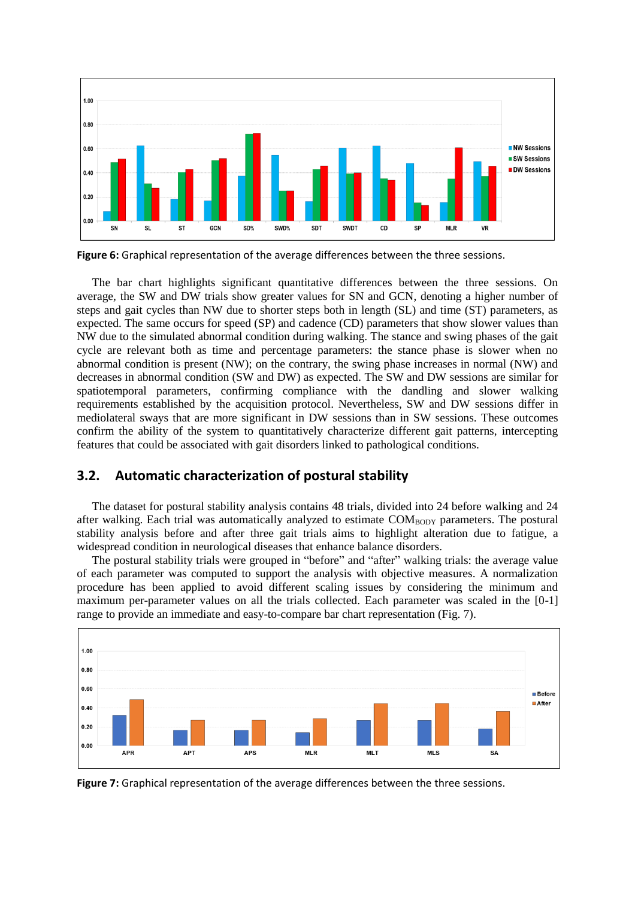

**Figure 6:** Graphical representation of the average differences between the three sessions.

The bar chart highlights significant quantitative differences between the three sessions. On average, the SW and DW trials show greater values for SN and GCN, denoting a higher number of steps and gait cycles than NW due to shorter steps both in length (SL) and time (ST) parameters, as expected. The same occurs for speed (SP) and cadence (CD) parameters that show slower values than NW due to the simulated abnormal condition during walking. The stance and swing phases of the gait cycle are relevant both as time and percentage parameters: the stance phase is slower when no abnormal condition is present (NW); on the contrary, the swing phase increases in normal (NW) and decreases in abnormal condition (SW and DW) as expected. The SW and DW sessions are similar for spatiotemporal parameters, confirming compliance with the dandling and slower walking requirements established by the acquisition protocol. Nevertheless, SW and DW sessions differ in mediolateral sways that are more significant in DW sessions than in SW sessions. These outcomes confirm the ability of the system to quantitatively characterize different gait patterns, intercepting features that could be associated with gait disorders linked to pathological conditions.

# **3.2. Automatic characterization of postural stability**

The dataset for postural stability analysis contains 48 trials, divided into 24 before walking and 24 after walking. Each trial was automatically analyzed to estimate COM<sub>BODY</sub> parameters. The postural stability analysis before and after three gait trials aims to highlight alteration due to fatigue, a widespread condition in neurological diseases that enhance balance disorders.

The postural stability trials were grouped in "before" and "after" walking trials: the average value of each parameter was computed to support the analysis with objective measures. A normalization procedure has been applied to avoid different scaling issues by considering the minimum and maximum per-parameter values on all the trials collected. Each parameter was scaled in the [0-1] range to provide an immediate and easy-to-compare bar chart representation (Fig. 7).



**Figure 7:** Graphical representation of the average differences between the three sessions.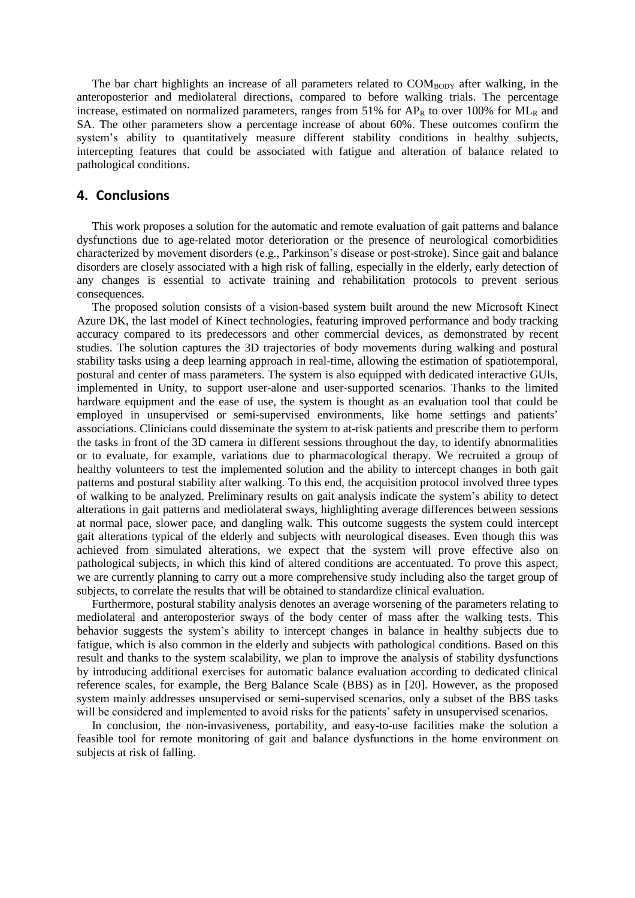The bar chart highlights an increase of all parameters related to  $COM_{BODY}$  after walking, in the anteroposterior and mediolateral directions, compared to before walking trials. The percentage increase, estimated on normalized parameters, ranges from  $51\%$  for AP<sub>R</sub> to over 100% for ML<sub>R</sub> and SA. The other parameters show a percentage increase of about 60%. These outcomes confirm the system's ability to quantitatively measure different stability conditions in healthy subjects, intercepting features that could be associated with fatigue and alteration of balance related to pathological conditions.

### **4. Conclusions**

This work proposes a solution for the automatic and remote evaluation of gait patterns and balance dysfunctions due to age-related motor deterioration or the presence of neurological comorbidities characterized by movement disorders (e.g., Parkinson's disease or post-stroke). Since gait and balance disorders are closely associated with a high risk of falling, especially in the elderly, early detection of any changes is essential to activate training and rehabilitation protocols to prevent serious consequences.

The proposed solution consists of a vision-based system built around the new Microsoft Kinect Azure DK, the last model of Kinect technologies, featuring improved performance and body tracking accuracy compared to its predecessors and other commercial devices, as demonstrated by recent studies. The solution captures the 3D trajectories of body movements during walking and postural stability tasks using a deep learning approach in real-time, allowing the estimation of spatiotemporal, postural and center of mass parameters. The system is also equipped with dedicated interactive GUIs, implemented in Unity, to support user-alone and user-supported scenarios. Thanks to the limited hardware equipment and the ease of use, the system is thought as an evaluation tool that could be employed in unsupervised or semi-supervised environments, like home settings and patients' associations. Clinicians could disseminate the system to at-risk patients and prescribe them to perform the tasks in front of the 3D camera in different sessions throughout the day, to identify abnormalities or to evaluate, for example, variations due to pharmacological therapy. We recruited a group of healthy volunteers to test the implemented solution and the ability to intercept changes in both gait patterns and postural stability after walking. To this end, the acquisition protocol involved three types of walking to be analyzed. Preliminary results on gait analysis indicate the system's ability to detect alterations in gait patterns and mediolateral sways, highlighting average differences between sessions at normal pace, slower pace, and dangling walk. This outcome suggests the system could intercept gait alterations typical of the elderly and subjects with neurological diseases. Even though this was achieved from simulated alterations, we expect that the system will prove effective also on pathological subjects, in which this kind of altered conditions are accentuated. To prove this aspect, we are currently planning to carry out a more comprehensive study including also the target group of subjects, to correlate the results that will be obtained to standardize clinical evaluation.

Furthermore, postural stability analysis denotes an average worsening of the parameters relating to mediolateral and anteroposterior sways of the body center of mass after the walking tests. This behavior suggests the system's ability to intercept changes in balance in healthy subjects due to fatigue, which is also common in the elderly and subjects with pathological conditions. Based on this result and thanks to the system scalability, we plan to improve the analysis of stability dysfunctions by introducing additional exercises for automatic balance evaluation according to dedicated clinical reference scales, for example, the Berg Balance Scale (BBS) as in [20]. However, as the proposed system mainly addresses unsupervised or semi-supervised scenarios, only a subset of the BBS tasks will be considered and implemented to avoid risks for the patients' safety in unsupervised scenarios.

In conclusion, the non-invasiveness, portability, and easy-to-use facilities make the solution a feasible tool for remote monitoring of gait and balance dysfunctions in the home environment on subjects at risk of falling.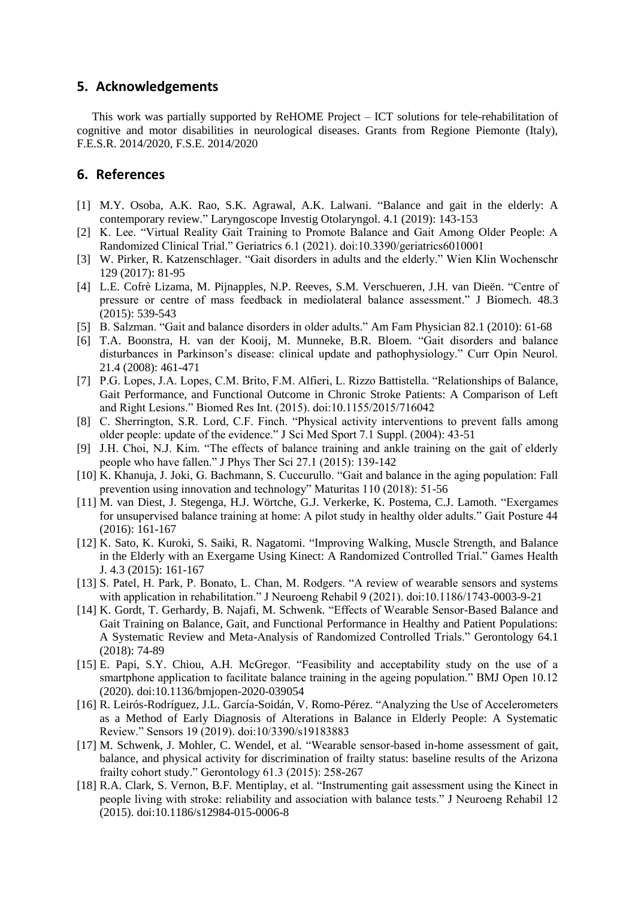### **5. Acknowledgements**

This work was partially supported by ReHOME Project – ICT solutions for tele-rehabilitation of cognitive and motor disabilities in neurological diseases. Grants from Regione Piemonte (Italy), F.E.S.R. 2014/2020, F.S.E. 2014/2020

# **6. References**

- [1] M.Y. Osoba, A.K. Rao, S.K. Agrawal, A.K. Lalwani. "Balance and gait in the elderly: A contemporary review." Laryngoscope Investig Otolaryngol. 4.1 (2019): 143-153
- <span id="page-9-9"></span>[2] K. Lee. "Virtual Reality Gait Training to Promote Balance and Gait Among Older People: A Randomized Clinical Trial." Geriatrics 6.1 (2021). doi:10.3390/geriatrics6010001
- [3] W. Pirker, R. Katzenschlager. "Gait disorders in adults and the elderly." Wien Klin Wochenschr 129 (2017): 81-95
- [4] L.E. Cofrè Lizama, M. Pijnapples, N.P. Reeves, S.M. Verschueren, J.H. van Dieën. "Centre of pressure or centre of mass feedback in mediolateral balance assessment." J Biomech. 48.3 (2015): 539-543
- [5] B. Salzman. "Gait and balance disorders in older adults." Am Fam Physician 82.1 (2010): 61-68
- <span id="page-9-0"></span>[6] T.A. Boonstra, H. van der Kooij, M. Munneke, B.R. Bloem. "Gait disorders and balance disturbances in Parkinson's disease: clinical update and pathophysiology." Curr Opin Neurol. 21.4 (2008): 461-471
- <span id="page-9-1"></span>[7] P.G. Lopes, J.A. Lopes, C.M. Brito, F.M. Alfieri, L. Rizzo Battistella. "Relationships of Balance, Gait Performance, and Functional Outcome in Chronic Stroke Patients: A Comparison of Left and Right Lesions." Biomed Res Int. (2015). doi:10.1155/2015/716042
- <span id="page-9-2"></span>[8] C. Sherrington, S.R. Lord, C.F. Finch. "Physical activity interventions to prevent falls among older people: update of the evidence." J Sci Med Sport 7.1 Suppl. (2004): 43-51
- <span id="page-9-3"></span>[9] J.H. Choi, N.J. Kim. "The effects of balance training and ankle training on the gait of elderly people who have fallen." J Phys Ther Sci 27.1 (2015): 139-142
- <span id="page-9-4"></span>[10] K. Khanuja, J. Joki, G. Bachmann, S. Cuccurullo. "Gait and balance in the aging population: Fall prevention using innovation and technology" Maturitas 110 (2018): 51-56
- <span id="page-9-5"></span>[11] M. van Diest, J. Stegenga, H.J. Wörtche, G.J. Verkerke, K. Postema, C.J. Lamoth. "Exergames for unsupervised balance training at home: A pilot study in healthy older adults." Gait Posture 44 (2016): 161-167
- <span id="page-9-6"></span>[12] K. Sato, K. Kuroki, S. Saiki, R. Nagatomi. "Improving Walking, Muscle Strength, and Balance in the Elderly with an Exergame Using Kinect: A Randomized Controlled Trial." Games Health J. 4.3 (2015): 161-167
- <span id="page-9-7"></span>[13] S. Patel, H. Park, P. Bonato, L. Chan, M. Rodgers. "A review of wearable sensors and systems with application in rehabilitation." J Neuroeng Rehabil 9 (2021). doi:10.1186/1743-0003-9-21
- <span id="page-9-8"></span>[14] K. Gordt, T. Gerhardy, B. Najafi, M. Schwenk. "Effects of Wearable Sensor-Based Balance and Gait Training on Balance, Gait, and Functional Performance in Healthy and Patient Populations: A Systematic Review and Meta-Analysis of Randomized Controlled Trials." Gerontology 64.1 (2018): 74-89
- <span id="page-9-10"></span>[15] E. Papi, S.Y. Chiou, A.H. McGregor. "Feasibility and acceptability study on the use of a smartphone application to facilitate balance training in the ageing population." BMJ Open 10.12 (2020). doi:10.1136/bmjopen-2020-039054
- <span id="page-9-11"></span>[16] R. Leirós-Rodríguez, J.L. García-Soidán, V. Romo-Pérez. "Analyzing the Use of Accelerometers as a Method of Early Diagnosis of Alterations in Balance in Elderly People: A Systematic Review." Sensors 19 (2019). doi:10/3390/s19183883
- [17] M. Schwenk, J. Mohler, C. Wendel, et al. "Wearable sensor-based in-home assessment of gait, balance, and physical activity for discrimination of frailty status: baseline results of the Arizona frailty cohort study." Gerontology 61.3 (2015): 258-267
- [18] R.A. Clark, S. Vernon, B.F. Mentiplay, et al. "Instrumenting gait assessment using the Kinect in people living with stroke: reliability and association with balance tests." J Neuroeng Rehabil 12 (2015). doi:10.1186/s12984-015-0006-8